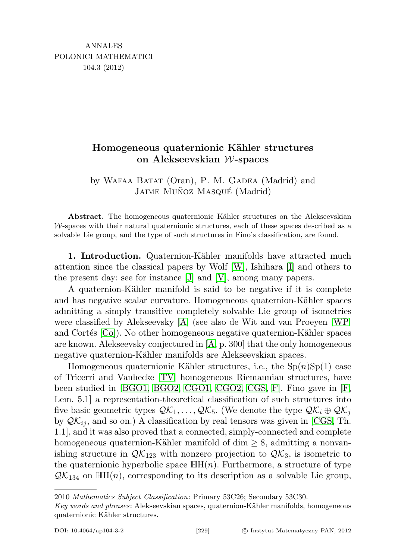## Homogeneous quaternionic Kähler structures on Alekseevskian W-spaces

by WAFAA BATAT (Oran), P. M. GADEA (Madrid) and JAIME MUÑOZ MASQUÉ (Madrid)

Abstract. The homogeneous quaternionic Kähler structures on the Alekseevskian  $W$ -spaces with their natural quaternionic structures, each of these spaces described as a solvable Lie group, and the type of such structures in Fino's classification, are found.

1. Introduction. Quaternion-Kähler manifolds have attracted much attention since the classical papers by Wolf [\[W\]](#page-13-0), Ishihara [\[I\]](#page-13-1) and others to the present day: see for instance [\[J\]](#page-13-2) and [\[V\]](#page-13-3), among many papers.

A quaternion-Kähler manifold is said to be negative if it is complete and has negative scalar curvature. Homogeneous quaternion-Kähler spaces admitting a simply transitive completely solvable Lie group of isometries were classified by Alekseevsky [\[A\]](#page-12-0) (see also de Wit and van Proeyen [\[WP\]](#page-13-4) and Cortés  $[C_0]$ . No other homogeneous negative quaternion-Kähler spaces are known. Alekseevsky conjectured in [\[A,](#page-12-0) p. 300] that the only homogeneous negative quaternion-Kähler manifolds are Alekseevskian spaces.

Homogeneous quaternionic Kähler structures, i.e., the  $Sp(n)Sp(1)$  case of Tricerri and Vanhecke [\[TV\]](#page-13-6) homogeneous Riemannian structures, have been studied in [\[BGO1,](#page-13-7) [BGO2,](#page-13-8) [CGO1,](#page-13-9) [CGO2,](#page-13-10) [CGS,](#page-13-11) [F\]](#page-13-12). Fino gave in [\[F,](#page-13-12) Lem. 5.1] a representation-theoretical classification of such structures into five basic geometric types  $\mathcal{QK}_1, \ldots, \mathcal{QK}_5$ . (We denote the type  $\mathcal{QK}_i \oplus \mathcal{QK}_j$ by  $\mathcal{QK}_{ij}$ , and so on.) A classification by real tensors was given in [\[CGS,](#page-13-11) Th. 1.1], and it was also proved that a connected, simply-connected and complete homogeneous quaternion-Kähler manifold of dim  $\geq 8$ , admitting a nonvanishing structure in  $\mathcal{QK}_{123}$  with nonzero projection to  $\mathcal{QK}_3$ , is isometric to the quaternionic hyperbolic space  $\mathbb{H}(n)$ . Furthermore, a structure of type  $\mathcal{QK}_{134}$  on  $\mathbb{H}(n)$ , corresponding to its description as a solvable Lie group,

2010 Mathematics Subject Classification: Primary 53C26; Secondary 53C30.

Key words and phrases: Alekseevskian spaces, quaternion-Kähler manifolds, homogeneous quaternionic Kähler structures.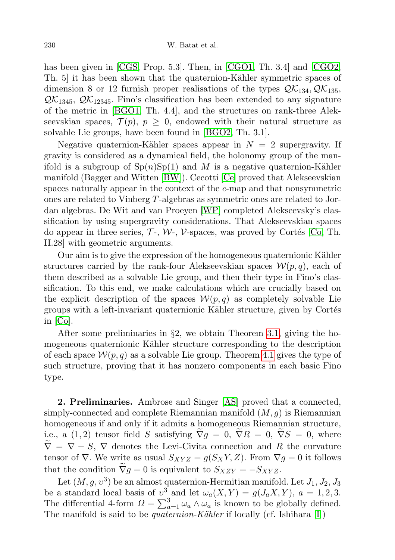## 230 W. Batat et al.

has been given in [\[CGS,](#page-13-11) Prop. 5.3]. Then, in [\[CGO1,](#page-13-9) Th. 3.4] and [\[CGO2,](#page-13-10) Th. 5 it has been shown that the quaternion-Kähler symmetric spaces of dimension 8 or 12 furnish proper realisations of the types  $\mathcal{QK}_{134}$ ,  $\mathcal{QK}_{135}$ ,  $\mathcal{QK}_{1345}$ ,  $\mathcal{QK}_{12345}$ . Fino's classification has been extended to any signature of the metric in [\[BGO1,](#page-13-7) Th. 4.4], and the structures on rank-three Alekseevskian spaces,  $\mathcal{T}(p), p \geq 0$ , endowed with their natural structure as solvable Lie groups, have been found in [\[BGO2,](#page-13-8) Th. 3.1].

Negative quaternion-Kähler spaces appear in  $N = 2$  supergravity. If gravity is considered as a dynamical field, the holonomy group of the manifold is a subgroup of  $Sp(n)Sp(1)$  and M is a negative quaternion-Kähler manifold (Bagger and Witten [\[BW\]](#page-12-1)). Cecotti [\[Ce\]](#page-13-13) proved that Alekseevskian spaces naturally appear in the context of the c-map and that nonsymmetric ones are related to Vinberg T-algebras as symmetric ones are related to Jordan algebras. De Wit and van Proeyen [\[WP\]](#page-13-4) completed Alekseevsky's classification by using supergravity considerations. That Alekseevskian spaces do appear in three series,  $\mathcal{T}$ -,  $\mathcal{W}$ -,  $\mathcal{V}$ -spaces, was proved by Cortés [\[Co,](#page-13-5) Th. II.28] with geometric arguments.

Our aim is to give the expression of the homogeneous quaternionic Kähler structures carried by the rank-four Alekseevskian spaces  $\mathcal{W}(p,q)$ , each of them described as a solvable Lie group, and then their type in Fino's classification. To this end, we make calculations which are crucially based on the explicit description of the spaces  $\mathcal{W}(p,q)$  as completely solvable Lie groups with a left-invariant quaternionic Kähler structure, given by Cortés in [\[Co\]](#page-13-5).

After some preliminaries in §2, we obtain Theorem [3.1,](#page-7-0) giving the homogeneous quaternionic Kähler structure corresponding to the description of each space  $\mathcal{W}(p,q)$  as a solvable Lie group. Theorem [4.1](#page-10-0) gives the type of such structure, proving that it has nonzero components in each basic Fino type.

2. Preliminaries. Ambrose and Singer [\[AS\]](#page-12-2) proved that a connected, simply-connected and complete Riemannian manifold  $(M, g)$  is Riemannian homogeneous if and only if it admits a homogeneous Riemannian structure, i.e., a (1,2) tensor field S satisfying  $\nabla g = 0$ ,  $\nabla R = 0$ ,  $\nabla S = 0$ , where  $\nabla = \nabla - S$ ,  $\nabla$  denotes the Levi-Civita connection and R the curvature tensor of  $\nabla$ . We write as usual  $S_{XYZ} = g(S_XY, Z)$ . From  $\nabla g = 0$  it follows that the condition  $\tilde{\nabla}g = 0$  is equivalent to  $S_{XZY} = -S_{XYZ}$ .

Let  $(M, g, v^3)$  be an almost quaternion-Hermitian manifold. Let  $J_1, J_2, J_3$ be a standard local basis of  $v^3$  and let  $\omega_a(X, Y) = g(J_a X, Y)$ ,  $a = 1, 2, 3$ . The differential 4-form  $\Omega = \sum_{a=1}^{3} \omega_a \wedge \omega_a$  is known to be globally defined. The manifold is said to be *quaternion-Kähler* if locally (cf. Ishihara [\[I\]](#page-13-1))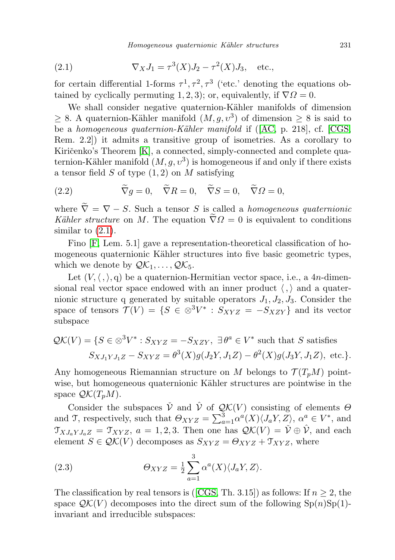<span id="page-2-0"></span>(2.1) 
$$
\nabla_X J_1 = \tau^3(X) J_2 - \tau^2(X) J_3, \text{ etc.},
$$

for certain differential 1-forms  $\tau^1, \tau^2, \tau^3$  ('etc.' denoting the equations obtained by cyclically permuting 1, 2, 3); or, equivalently, if  $\nabla \Omega = 0$ .

We shall consider negative quaternion-Kähler manifolds of dimension  $\geq 8$ . A quaternion-Kähler manifold  $(M, g, v^3)$  of dimension  $\geq 8$  is said to be a homogeneous quaternion-Kähler manifold if ([\[AC,](#page-12-3) p. 218], cf. [\[CGS,](#page-13-11) Rem. 2.2]) it admits a transitive group of isometries. As a corollary to Kiričenko's Theorem  $[K]$ , a connected, simply-connected and complete quaternion-Kähler manifold  $(M, g, v^3)$  is homogeneous if and only if there exists a tensor field  $S$  of type  $(1, 2)$  on  $M$  satisfying

<span id="page-2-1"></span>(2.2) 
$$
\widetilde{\nabla}g = 0, \quad \widetilde{\nabla}R = 0, \quad \widetilde{\nabla}S = 0, \quad \widetilde{\nabla}\Omega = 0,
$$

where  $\tilde{\nabla} = \nabla - S$ . Such a tensor S is called a *homogeneous quaternionic* Kähler structure on M. The equation  $\tilde{\nabla} \Omega = 0$  is equivalent to conditions similar to  $(2.1)$ .

Fino [\[F,](#page-13-12) Lem. 5.1] gave a representation-theoretical classification of homogeneous quaternionic Kähler structures into five basic geometric types, which we denote by  $\mathcal{QK}_1, \ldots, \mathcal{QK}_5$ .

Let  $(V, \langle , \rangle, q)$  be a quaternion-Hermitian vector space, i.e., a 4n-dimensional real vector space endowed with an inner product  $\langle , \rangle$  and a quaternionic structure q generated by suitable operators  $J_1, J_2, J_3$ . Consider the space of tensors  $\mathcal{T}(V) = \{ S \in \otimes^3 V^* : S_{XYZ} = -S_{XZY} \}$  and its vector subspace

$$
\mathcal{QK}(V) = \{ S \in \otimes^3 V^* : S_{XYZ} = -S_{XZY}, \exists \theta^a \in V^* \text{ such that } S \text{ satisfies}
$$
  

$$
S_{XJ_1YJ_1Z} - S_{XYZ} = \theta^3(X)g(J_2Y, J_1Z) - \theta^2(X)g(J_3Y, J_1Z), \text{ etc.} \}.
$$

Any homogeneous Riemannian structure on M belongs to  $\mathcal{T}(T_pM)$  pointwise, but homogeneous quaternionic Kähler structures are pointwise in the space  $\mathcal{QK}(T_nM)$ .

Consider the subspaces  $\check{\mathcal{V}}$  and  $\hat{\mathcal{V}}$  of  $\mathcal{QK}(V)$  consisting of elements  $\Theta$ and T, respectively, such that  $\Theta_{XYZ} = \sum_{a=1}^3 \alpha^a(X) \langle J_a Y, Z \rangle$ ,  $\alpha^a \in V^*$ , and  $\mathfrak{T}_{XJ_aYJ_aZ} = \mathfrak{T}_{XYZ}$ ,  $a = 1, 2, 3$ . Then one has  $\mathcal{QK}(V) = \check{\mathcal{V}} \oplus \hat{\mathcal{V}}$ , and each element  $S \in \mathcal{QK}(V)$  decomposes as  $S_{XYZ} = \Theta_{XYZ} + \mathcal{T}_{XYZ}$ , where

<span id="page-2-2"></span>(2.3) 
$$
\Theta_{XYZ} = \frac{1}{2} \sum_{a=1}^{3} \alpha^{a}(X) \langle J_a Y, Z \rangle.
$$

The classification by real tensors is ([\[CGS,](#page-13-11) Th. 3.15]) as follows: If  $n \geq 2$ , the space  $\mathcal{QK}(V)$  decomposes into the direct sum of the following  $\text{Sp}(n)\text{Sp}(1)$ invariant and irreducible subspaces: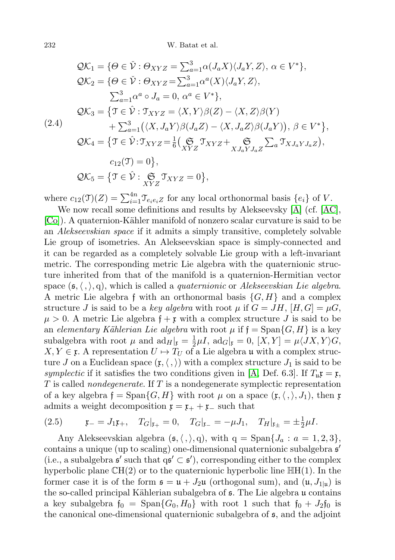$$
QK_1 = \{ \Theta \in \check{\mathcal{V}} : \Theta_{XYZ} = \sum_{a=1}^3 \alpha(J_a X) \langle J_a Y, Z \rangle, \, \alpha \in V^* \},
$$
  
\n
$$
QK_2 = \{ \Theta \in \check{\mathcal{V}} : \Theta_{XYZ} = \sum_{a=1}^3 \alpha^a(X) \langle J_a Y, Z \rangle,
$$
  
\n
$$
\sum_{a=1}^3 \alpha^a \circ J_a = 0, \, \alpha^a \in V^* \},
$$
  
\n
$$
QK_3 = \{ \mathcal{T} \in \hat{\mathcal{V}} : \mathcal{T}_{XYZ} = \langle X, Y \rangle \beta(Z) - \langle X, Z \rangle \beta(Y)
$$
  
\n
$$
+ \sum_{a=1}^3 (\langle X, J_a Y \rangle \beta(J_a Z) - \langle X, J_a Z \rangle \beta(J_a Y)), \, \beta \in V^* \},
$$
  
\n
$$
QK_4 = \{ \mathcal{T} \in \hat{\mathcal{V}} : \mathcal{T}_{XYZ} = \frac{1}{6} \big( \underset{XYZ}{\mathfrak{S}} \mathcal{T}_{XYZ} + \underset{XJ_a Y J_a Z}{\mathfrak{S}} \sum_a \mathcal{T}_{X J_a Y J_a Z} \big),
$$
  
\n
$$
c_{12}(\mathcal{T}) = 0 \},
$$
  
\n
$$
QK_5 = \{ \mathcal{T} \in \hat{\mathcal{V}} : \underset{XYZ}{\mathfrak{S}} \mathcal{T}_{XYZ} = 0 \},
$$

where  $c_{12}(\mathfrak{I})(Z) = \sum_{i=1}^{4n} \mathfrak{I}_{e_i e_i Z}$  for any local orthonormal basis  $\{e_i\}$  of V.

We now recall some definitions and results by Alekseevsky [\[A\]](#page-12-0) (cf. [\[AC\]](#page-12-3), [\[Co\]](#page-13-5)). A quaternion-Kähler manifold of nonzero scalar curvature is said to be an Alekseevskian space if it admits a simply transitive, completely solvable Lie group of isometries. An Alekseevskian space is simply-connected and it can be regarded as a completely solvable Lie group with a left-invariant metric. The corresponding metric Lie algebra with the quaternionic structure inherited from that of the manifold is a quaternion-Hermitian vector space  $(\mathfrak{s},\langle ,\rangle,q)$ , which is called a *quaternionic* or Alekseevskian Lie algebra. A metric Lie algebra f with an orthonormal basis  $\{G, H\}$  and a complex structure J is said to be a key algebra with root  $\mu$  if  $G = JH$ ,  $[H, G] = \mu G$ ,  $\mu > 0$ . A metric Lie algebra  $f + r$  with a complex structure J is said to be an elementary Kählerian Lie algebra with root  $\mu$  if  $\mathfrak{f} = \text{Span}\{G, H\}$  is a key subalgebra with root  $\mu$  and  $ad_H|_{\mathfrak{x}} = \frac{1}{2}$  $\frac{1}{2}\mu I$ ,  $\mathrm{ad}_G|_{\mathfrak{k}}=0,$   $[X,Y]=\mu \langle JX,Y\rangle G,$  $X, Y \in \mathfrak{x}$ . A representation  $U \mapsto T_U$  of a Lie algebra u with a complex structure J on a Euclidean space  $(\mathfrak{x},\langle,\rangle)$  with a complex structure  $J_1$  is said to be symplectic if it satisfies the two conditions given in [\[A,](#page-12-0) Def. 6.3]. If  $T_u\mathfrak{x} = \mathfrak{x}$ ,  $T$  is called *nondegenerate*. If  $T$  is a nondegenerate symplectic representation of a key algebra  $f = \text{Span}\{G, H\}$  with root  $\mu$  on a space  $(\mathfrak{x}, \langle, \rangle, J_1)$ , then x admits a weight decomposition  $\mathfrak{x} = \mathfrak{x}_+ + \mathfrak{x}_-$  such that

<span id="page-3-0"></span>(2.5) 
$$
\mathfrak{x}_{-} = J_{1}\mathfrak{x}_{+}, \quad T_{G}|_{\mathfrak{x}_{+}} = 0, \quad T_{G}|_{\mathfrak{x}_{-}} = -\mu J_{1}, \quad T_{H}|_{\mathfrak{x}_{\pm}} = \pm \frac{1}{2}\mu I.
$$

Any Alekseevskian algebra  $(\mathfrak{s},\langle,\rangle,q)$ , with  $q = \text{Span}\{J_a : a = 1, 2, 3\},$ contains a unique (up to scaling) one-dimensional quaternionic subalgebra  $s'$ (i.e., a subalgebra  $\mathfrak{s}'$  such that  $q\mathfrak{s}' \subset \mathfrak{s}'$ ), corresponding either to the complex hyperbolic plane  $\mathbb{C}H(2)$  or to the quaternionic hyperbolic line  $\mathbb{H}H(1)$ . In the former case it is of the form  $\mathfrak{s} = \mathfrak{u} + J_2\mathfrak{u}$  (orthogonal sum), and  $(\mathfrak{u}, J_{1|\mathfrak{u}})$  is the so-called principal Kählerian subalgebra of  $\epsilon$ . The Lie algebra u contains a key subalgebra  $f_0 = \text{Span}\{G_0, H_0\}$  with root 1 such that  $f_0 + J_2 f_0$  is the canonical one-dimensional quaternionic subalgebra of s, and the adjoint

<span id="page-3-1"></span> $($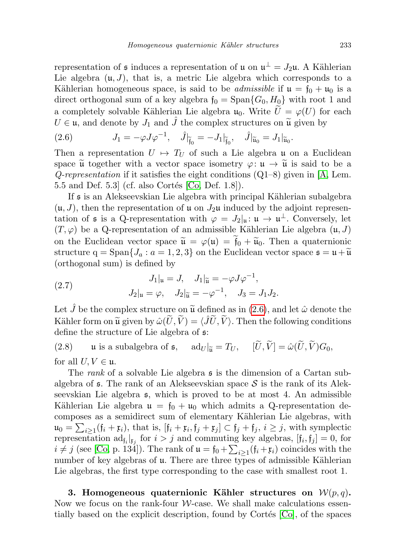representation of  $\mathfrak s$  induces a representation of  $\mathfrak u$  on  $\mathfrak u^{\perp} = J_2\mathfrak u$ . A Kählerian Lie algebra  $(\mathfrak{u}, J)$ , that is, a metric Lie algebra which corresponds to a Kählerian homogeneous space, is said to be *admissible* if  $\mathfrak{u} = \mathfrak{f}_0 + \mathfrak{u}_0$  is a direct orthogonal sum of a key algebra  $f_0 = \text{Span}\{G_0, H_0\}$  with root 1 and a completely solvable Kählerian Lie algebra  $\mathfrak{u}_0$ . Write  $U = \varphi(U)$  for each  $U \in \mathfrak{u}$ , and denote by  $J_1$  and  $\hat{J}$  the complex structures on  $\tilde{\mathfrak{u}}$  given by

<span id="page-4-0"></span>(2.6) 
$$
J_1 = -\varphi J \varphi^{-1}, \quad \hat{J}|_{\tilde{f}_0} = -J_1|_{\tilde{f}_0}, \quad \hat{J}|_{\tilde{u}_0} = J_1|_{\tilde{u}_0}.
$$

Then a representation  $U \mapsto T_U$  of such a Lie algebra u on a Euclidean space  $\tilde{\mathfrak{u}}$  together with a vector space isometry  $\varphi: \mathfrak{u} \to \tilde{\mathfrak{u}}$  is said to be a  $Q$ -representation if it satisfies the eight conditions  $(Q1-8)$  given in [\[A,](#page-12-0) Lem. 5.5 and Def. 5.3 (cf. also Cortés  $[C_0, Def. 1.8]$ ).

If s is an Alekseevskian Lie algebra with principal K¨ahlerian subalgebra  $(u, J)$ , then the representation of u on  $J_2\mathfrak{u}$  induced by the adjoint representation of  $\mathfrak s$  is a Q-representation with  $\varphi = J_2|_{\mathfrak u}: \mathfrak u \to \mathfrak u^{\perp}$ . Conversely, let  $(T, \varphi)$  be a Q-representation of an admissible Kählerian Lie algebra  $(u, J)$ on the Euclidean vector space  $\tilde{\mathfrak{u}} = \varphi(\mathfrak{u}) = \tilde{\mathfrak{f}}_0 + \tilde{\mathfrak{u}}_0$ . Then a quaternionic structure  $q = \text{Span}\{J_a : a = 1, 2, 3\}$  on the Euclidean vector space  $\mathfrak{s} = \mathfrak{u} + \widetilde{\mathfrak{u}}$ (orthogonal sum) is defined by

<span id="page-4-1"></span>(2.7) 
$$
J_1|_{\mathfrak{u}} = J, \quad J_1|_{\widetilde{\mathfrak{u}}} = -\varphi J \varphi^{-1},
$$

$$
J_2|_{\mathfrak{u}} = \varphi, \quad J_2|_{\widetilde{\mathfrak{u}}} = -\varphi^{-1}, \quad J_3 = J_1 J_2.
$$

Let  $\hat{J}$  be the complex structure on  $\tilde{\mathfrak{u}}$  defined as in [\(2.6\)](#page-4-0), and let  $\hat{\omega}$  denote the Kähler form on  $\widetilde{\mathfrak{u}}$  given by  $\hat{\omega}(\widetilde{U}, \widetilde{V}) = \langle \widetilde{J}\widetilde{U}, \widetilde{V}\rangle$ . Then the following conditions define the structure of Lie algebra of s:

<span id="page-4-2"></span>(2.8) u is a subalgebra of  $\mathfrak{s}$ ,  $\text{ad}_U|_{\widetilde{\mathfrak{u}}} = T_U$ ,  $[\widetilde{U}, \widetilde{V}] = \hat{\omega}(\widetilde{U}, \widetilde{V})G_0$ , for all  $U, V \in \mathfrak{u}$ .

The *rank* of a solvable Lie algebra  $\boldsymbol{\mathfrak{s}}$  is the dimension of a Cartan subalgebra of  $\epsilon$ . The rank of an Alekseevskian space S is the rank of its Alekseevskian Lie algebra s, which is proved to be at most 4. An admissible Kählerian Lie algebra  $\mathfrak{u} = \mathfrak{f}_0 + \mathfrak{u}_0$  which admits a Q-representation decomposes as a semidirect sum of elementary Kählerian Lie algebras, with  $\mathfrak{u}_0 = \sum_{i \geq 1} (\mathfrak{f}_i + \mathfrak{x}_i)$ , that is,  $[\mathfrak{f}_i + \mathfrak{x}_i, \mathfrak{f}_j + \mathfrak{x}_j] \subset \mathfrak{f}_j + \mathfrak{f}_j$ ,  $i \geq j$ , with symplectic representation  $ad_{\mathfrak{f}_i}|_{\mathfrak{k}_j}$  for  $i > j$  and commuting key algebras,  $[\mathfrak{f}_i, \mathfrak{f}_j] = 0$ , for  $i \neq j$  (see [\[Co,](#page-13-5) p. 134]). The rank of  $\mathfrak{u} = \mathfrak{f}_0 + \sum_{i \geq 1} (\mathfrak{f}_i + \mathfrak{x}_i)$  coincides with the number of key algebras of  $\mu$ . There are three types of admissible Kählerian Lie algebras, the first type corresponding to the case with smallest root 1.

3. Homogeneous quaternionic Kähler structures on  $\mathcal{W}(p,q)$ . Now we focus on the rank-four  $W$ -case. We shall make calculations essentially based on the explicit description, found by Cortés  $[C_0]$ , of the spaces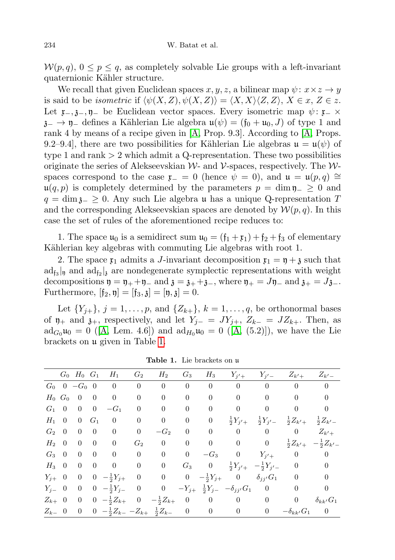$\mathcal{W}(p,q), 0 \leq p \leq q$ , as completely solvable Lie groups with a left-invariant quaternionic Kähler structure.

We recall that given Euclidean spaces  $x, y, z$ , a bilinear map  $\psi: x \times z \rightarrow y$ is said to be *isometric* if  $\langle \psi(X, Z), \psi(X, Z) \rangle = \langle X, X \rangle \langle Z, Z \rangle, X \in \mathcal{X}, Z \in \mathcal{Z}.$ Let  $\mathfrak{x}_-, \mathfrak{z}_-, \mathfrak{y}_-$  be Euclidean vector spaces. Every isometric map  $\psi : \mathfrak{x}_- \times$  $\mathfrak{z}_-\to\mathfrak{y}_-$  defines a Kählerian Lie algebra  $\mathfrak{u}(\psi)=(\mathfrak{f}_0+\mathfrak{u}_0,J)$  of type 1 and rank 4 by means of a recipe given in [\[A,](#page-12-0) Prop. 9.3]. According to [\[A,](#page-12-0) Props. 9.2–9.4], there are two possibilities for Kählerian Lie algebras  $\mathfrak{u} = \mathfrak{u}(\psi)$  of type 1 and rank  $> 2$  which admit a Q-representation. These two possibilities originate the series of Alekseevskian  $W$ - and  $V$ -spaces, respectively. The  $W$ spaces correspond to the case  $\mathfrak{x}_- = 0$  (hence  $\psi = 0$ ), and  $\mathfrak{u} = \mathfrak{u}(p,q) \cong$  $u(q, p)$  is completely determined by the parameters  $p = \dim \mathfrak{y}_- \geq 0$  and  $q = \dim_{\mathfrak{Z}_-} \geq 0$ . Any such Lie algebra u has a unique Q-representation T and the corresponding Alekseevskian spaces are denoted by  $\mathcal{W}(p,q)$ . In this case the set of rules of the aforementioned recipe reduces to:

1. The space  $\mathfrak{u}_0$  is a semidirect sum  $\mathfrak{u}_0 = (\mathfrak{f}_1 + \mathfrak{x}_1) + \mathfrak{f}_2 + \mathfrak{f}_3$  of elementary Kählerian key algebras with commuting Lie algebras with root 1.

2. The space  $\mathfrak{x}_1$  admits a J-invariant decomposition  $\mathfrak{x}_1 = \mathfrak{y} + \mathfrak{z}$  such that  $\text{ad}_{\mathfrak{f}_3}|_{\mathfrak{y}}$  and  $\text{ad}_{\mathfrak{f}_2}|_{\mathfrak{z}}$  are nondegenerate symplectic representations with weight decompositions  $\mathfrak{y} = \mathfrak{y}_+ + \mathfrak{y}_-$  and  $\mathfrak{z} = \mathfrak{z}_+ + \mathfrak{z}_-,$  where  $\mathfrak{y}_+ = J\mathfrak{y}_-$  and  $\mathfrak{z}_+ = J\mathfrak{z}_-$ . Furthermore,  $[f_2, \eta] = [f_3, \chi] = [\eta, \chi] = 0.$ 

Let  $\{Y_{j+}\}, j = 1, ..., p$ , and  $\{Z_{k+}\}, k = 1, ..., q$ , be orthonormal bases of  $\mathfrak{y}_+$  and  $\mathfrak{z}_+$ , respectively, and let  $Y_{j-} = JY_{j+}, Z_{k-} = JZ_{k+}$ . Then, as  $\mathrm{ad}_{G_0}\mathfrak{u}_0 = 0$  ([\[A,](#page-12-0) Lem. 4.6]) and  $\mathrm{ad}_{H_0}\mathfrak{u}_0 = 0$  ([A, (5.2)]), we have the Lie brackets on u given in Table [1.](#page-5-0)

|               |                |                          |                         | $G_0$ $H_0$ $G_1$ $H_1$ $G_2$                                         |                                   | $H_2$            | $G_3$                           |                |                                                                           |                         | $H_3$ $Y_{j'+}$ $Y_{j'-}$ $Z_{k'+}$ $Z_{k'-}$               |                                          |
|---------------|----------------|--------------------------|-------------------------|-----------------------------------------------------------------------|-----------------------------------|------------------|---------------------------------|----------------|---------------------------------------------------------------------------|-------------------------|-------------------------------------------------------------|------------------------------------------|
|               |                |                          |                         | $G_0$ 0 $-G_0$ 0 0 0 0                                                |                                   |                  | $\begin{matrix} 0 \end{matrix}$ |                |                                                                           |                         | $0 \qquad 0 \qquad 0 \qquad 0$                              | $\overline{0}$                           |
|               | $H_0$ $G_0$    | $\overline{0}$           | $\overline{\mathbf{0}}$ | $\overline{0}$                                                        | $\overline{0}$                    | $\boldsymbol{0}$ | $\boldsymbol{0}$                | $\overline{0}$ | $\vert 0 \vert$                                                           | $\overline{0}$          | $\overline{0}$                                              | $\boldsymbol{0}$                         |
| $G_1 \quad 0$ |                | $0 \quad 0$              |                         | $-G_1$                                                                | $\overline{0}$                    | $\mathbf{0}$     | $\overline{0}$                  | $\overline{0}$ |                                                                           |                         | $0 \qquad 0 \qquad 0$                                       | $\overline{0}$                           |
| $H_1$ 0       |                | $0 \quad G_1$            |                         | $\overline{0}$                                                        | $\overline{0}$                    | $\boldsymbol{0}$ | $\overline{0}$                  | $\overline{0}$ | $\frac{1}{2}Y_{j'+}$                                                      |                         | $\frac{1}{2}Y_{j'} = \frac{1}{2}Z_{k'} + \frac{1}{2}Z_{k'}$ |                                          |
| $G_2 \quad 0$ |                | $\overline{0}$           | $\overline{0}$          | $\overline{0}$                                                        | $\boldsymbol{0}$                  | $-G_2$           | $\mathbf{0}$                    |                | $\begin{matrix} 0 & 0 & 0 & 0 \end{matrix}$                               |                         |                                                             | $Z_{k'+}$                                |
| $H_2$ 0       |                | $\overline{0}$           | $\overline{0}$          | $\overline{0}$                                                        | $G_2$                             | $\mathbf{0}$     | $\mathbf{0}$                    |                | $0 \qquad 0 \qquad 0$                                                     |                         |                                                             | $\frac{1}{2}Z_{k'}$ $-\frac{1}{2}Z_{k'}$ |
| $G_3$         | $\overline{0}$ | $\overline{0}$           | $\overline{0}$          | $\overline{0}$                                                        | $\begin{array}{cc} 0 \end{array}$ | $\boldsymbol{0}$ | $\boldsymbol{0}$                |                |                                                                           |                         | $-G_3$ 0 $Y_{j'+}$ 0 0                                      |                                          |
| $H_3$ 0       |                | $\overline{0}$           | $\overline{0}$          | $0\qquad 0$                                                           |                                   | $\boldsymbol{0}$ |                                 | $G_3$ 0        | $\frac{1}{2}Y_{j'+} - \frac{1}{2}Y_{j'-} = 0$                             |                         |                                                             | $\theta$                                 |
| $Y_{j+}$ 0    |                |                          |                         |                                                                       |                                   |                  |                                 |                | 0 0 $-\frac{1}{2}Y_{j+}$ 0 0 0 $-\frac{1}{2}Y_{j+}$ 0 $\delta_{jj'}G_1$ 0 |                         |                                                             | $\theta$                                 |
| $Y_{i-}$ 0    |                | $\overline{0}$           |                         | $0 \quad -\frac{1}{2}Y_{j-} \quad 0 \qquad 0$                         |                                   |                  |                                 |                | $-Y_{j+}$ $\frac{1}{2}Y_{j-}$ $-\delta_{jj'}G_1$ 0 0                      |                         |                                                             | $\theta$                                 |
| $Z_{k+}$ 0    |                | $\overline{\phantom{0}}$ |                         | $0 \ -\frac{1}{2}Z_{k+} \quad 0$                                      |                                   |                  |                                 |                | $-\frac{1}{2}Z_{k+}$ 0 0 0                                                | $\overline{\mathbf{0}}$ | $\overline{0}$                                              | $\delta_{kk'}G_1$                        |
| $Z_{k-}$ 0    |                | $\overline{0}$           |                         | $0 \quad -\frac{1}{2}Z_{k-} - Z_{k+} \quad \frac{1}{2}Z_{k-} \quad 0$ |                                   |                  |                                 |                | $0\qquad 0$                                                               | $\overline{0}$          | $-\delta_{kk'}G_1$ 0                                        |                                          |

<span id="page-5-0"></span>Table 1. Lie brackets on u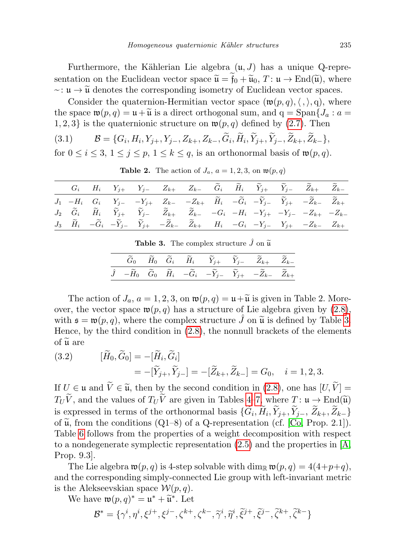Furthermore, the Kählerian Lie algebra  $(\mathfrak{u}, J)$  has a unique Q-representation on the Euclidean vector space  $\tilde{\mathfrak{u}} = \mathfrak{f}_0 + \tilde{\mathfrak{u}}_0$ ,  $T: \mathfrak{u} \to \text{End}(\tilde{\mathfrak{u}})$ , where  $\sim: \mathfrak{u} \to \widetilde{\mathfrak{u}}$  denotes the corresponding isometry of Euclidean vector spaces.

Consider the quaternion-Hermitian vector space  $(\mathfrak{w}(p,q),\langle,\rangle,q)$ , where the space  $\mathfrak{w}(p,q) = \mathfrak{u} + \widetilde{\mathfrak{u}}$  is a direct orthogonal sum, and  $q = \text{Span} \{J_a : a =$ 1, 2, 3} is the quaternionic structure on  $\mathfrak{w}(p,q)$  defined by [\(2.7\)](#page-4-1). Then

<span id="page-6-1"></span>
$$
(3.1) \qquad \mathcal{B} = \{G_i, H_i, Y_{j+}, Y_{j-}, Z_{k+}, Z_{k-}, G_i, H_i, Y_{j+}, Y_{j-}, Z_{k+}, Z_{k-}\},
$$

for  $0 \le i \le 3, 1 \le j \le p, 1 \le k \le q$ , is an orthonormal basis of  $\mathfrak{w}(p,q)$ .

|  |  |  |  |  | $G_i \hspace{.5cm} H_i \hspace{.5cm} Y_{j+} \hspace{.5cm} Y_{j-} \hspace{.5cm} Z_{k+} \hspace{.5cm} Z_{k-} \hspace{.5cm} \widetilde{G}_i \hspace{.5cm} \widetilde{H}_i \hspace{.5cm} \widetilde{Y}_{j+} \hspace{.5cm} \widetilde{Y}_{j-} \hspace{.5cm} \widetilde{Z}_{k+} \hspace{.5cm} \widetilde{Z}_{k-}$ |  |
|--|--|--|--|--|-------------------------------------------------------------------------------------------------------------------------------------------------------------------------------------------------------------------------------------------------------------------------------------------------------------|--|
|  |  |  |  |  | $J_1 \quad -H_i \quad G_i \qquad Y_j \qquad -Y_{j+} \quad Z_{k-} \quad -Z_{k+} \quad \  \widetilde{H}_i \quad -\widetilde{G}_i \quad -\widetilde{Y}_{j-} \quad \  \widetilde{Y}_{j+} \quad -\widetilde{Z}_{k-} \quad \  \widetilde{Z}_{k+}$                                                                 |  |
|  |  |  |  |  | $J_2 \quad \  \widetilde G_i \qquad \  \widetilde H_i \qquad \  \widetilde Y_{j+} \qquad \  \widetilde Y_{j-} \qquad \  \widetilde Z_{k+} \qquad \  \widetilde Z_{k-} \qquad \, -G_i \quad \, -H_i \quad \, -Y_{j+} \quad \, -Y_{j-} \quad \, -Z_{k+} \quad \, -Z_{k-}$                                     |  |
|  |  |  |  |  | $J_3 \quad \widetilde{H}_i \quad -\widetilde{G}_i \quad -\widetilde{Y}_j \quad \quad \widetilde{Y}_{j+} \quad -\widetilde{Z}_{k-} \quad \widetilde{Z}_{k+} \qquad H_i \quad -G_i \quad -Y_{j-} \quad Y_{j+} \quad -Z_{k-} \quad Z_{k+}$                                                                     |  |

**Table 2.** The action of  $J_a$ ,  $a = 1, 2, 3$ , on  $\mathfrak{w}(p, q)$ 

<span id="page-6-0"></span>

| <b>Table 3.</b> The complex structure $\hat{J}$ on $\tilde{\mu}$ |  |  |
|------------------------------------------------------------------|--|--|
|                                                                  |  |  |

|  |  |  | $\widetilde{G}_0$ $\widetilde{H}_0$ $\widetilde{G}_i$ $\widetilde{H}_i$ $\widetilde{Y}_{j+}$ $\widetilde{Y}_{j-}$ $\widetilde{Z}_{k+}$ $\widetilde{Z}_{k-}$               |  |
|--|--|--|---------------------------------------------------------------------------------------------------------------------------------------------------------------------------|--|
|  |  |  | $\hat{J}$ $-\widetilde{H}_0$ $\widetilde{G}_0$ $\widetilde{H}_i$ $-\widetilde{G}_i$ $-\widetilde{Y}_{j-}$ $\widetilde{Y}_{j+}$ $-\widetilde{Z}_{k-}$ $\widetilde{Z}_{k+}$ |  |

The action of  $J_a$ ,  $a = 1, 2, 3$ , on  $\mathfrak{w}(p, q) = \mathfrak{u} + \widetilde{\mathfrak{u}}$  is given in Table 2. Moreover, the vector space  $\mathfrak{w}(p,q)$  has a structure of Lie algebra given by [\(2.8\)](#page-4-2), with  $\mathfrak{s} = \mathfrak{w}(p, q)$ , where the complex structure J on  $\tilde{\mathfrak{u}}$  is defined by Table [3.](#page-6-0) Hence, by the third condition in [\(2.8\)](#page-4-2), the nonnull brackets of the elements of  $\widetilde{\mathfrak{u}}$  are

<span id="page-6-2"></span>(3.2) 
$$
[\widetilde{H}_0, \widetilde{G}_0] = -[\widetilde{H}_i, \widetilde{G}_i] = -[\widetilde{Y}_{j+}, \widetilde{Y}_{j-}] = -[\widetilde{Z}_{k+}, \widetilde{Z}_{k-}] = G_0, \quad i = 1, 2, 3.
$$

If  $U \in \mathfrak{u}$  and  $\widetilde{V} \in \widetilde{\mathfrak{u}}$ , then by the second condition in [\(2.8\)](#page-4-2), one has  $[U, \widetilde{V}] =$  $T_U\widetilde{V}$ , and the values of  $T_U\widetilde{V}$  are given in Tables [4–](#page-9-0)[7,](#page-10-1) where  $T: \mathfrak{u} \to \text{End}(\widetilde{\mathfrak{u}})$ is expressed in terms of the orthonormal basis  $\{G_i, H_i, Y_{j+}, Y_{j-}, Z_{k+}, Z_{k-}\}\$ of  $\tilde{u}$ , from the conditions (Q1–8) of a Q-representation (cf. [\[Co,](#page-13-5) Prop. 2.1]). Table [6](#page-10-2) follows from the properties of a weight decomposition with respect to a nondegenerate symplectic representation  $(2.5)$  and the properties in  $[A, ]$  $[A, ]$ Prop. 9.3].

The Lie algebra  $\mathfrak{w}(p,q)$  is 4-step solvable with  $\dim_{\mathbb{R}} \mathfrak{w}(p,q) = 4(4+p+q)$ , and the corresponding simply-connected Lie group with left-invariant metric is the Alekseevskian space  $\mathcal{W}(p,q)$ .

We have  $\mathfrak{w}(p,q)^* = \mathfrak{u}^* + \widetilde{\mathfrak{u}}^*$ . Let

$$
\mathcal{B}^* = \{ \gamma^i, \eta^i, \xi^{j+}, \xi^{j-}, \zeta^{k+}, \zeta^{k-}, \widetilde{\gamma}^i, \widetilde{\eta}^i, \widetilde{\xi}^{j+}, \widetilde{\xi}^{j-}, \widetilde{\zeta}^{k+}, \widetilde{\zeta}^{k-} \}
$$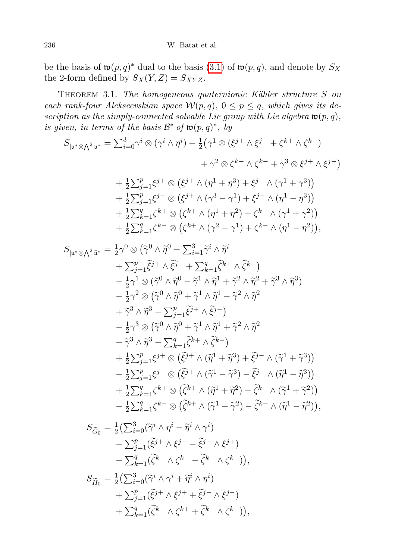be the basis of  $\mathfrak{w}(p,q)^*$  dual to the basis  $(3.1)$  of  $\mathfrak{w}(p,q)$ , and denote by  $S_X$ the 2-form defined by  $S_X(Y, Z) = S_{XYZ}$ .

<span id="page-7-0"></span>THEOREM 3.1. The homogeneous quaternionic Kähler structure S on each rank-four Alekseevskian space  $W(p,q)$ ,  $0 \le p \le q$ , which gives its description as the simply-connected solvable Lie group with Lie algebra  $\mathfrak{w}(p,q)$ , is given, in terms of the basis  $\mathcal{B}^*$  of  $\mathfrak{w}(p,q)^*$ , by

$$
S_{|\mathfrak{u}^* \otimes \bigwedge^2 \mathfrak{u}^*} = \sum_{i=0}^3 \gamma^i \otimes (\gamma^i \wedge \eta^i) - \frac{1}{2} (\gamma^1 \otimes (\xi^{j+} \wedge \xi^{j-} + \zeta^{k+} \wedge \zeta^{k-}) + \gamma^2 \otimes \zeta^{k+} \wedge \zeta^{k-} + \gamma^3 \otimes \xi^{j+} \wedge \xi^{j-}) + \frac{1}{2} \sum_{j=1}^p \xi^{j+} \otimes (\xi^{j+} \wedge (\eta^1 + \eta^3) + \xi^{j-} \wedge (\gamma^1 + \gamma^3)) + \frac{1}{2} \sum_{j=1}^p \xi^{j-} \otimes (\xi^{j+} \wedge (\gamma^3 - \gamma^1) + \xi^{j-} \wedge (\eta^1 - \eta^3)) + \frac{1}{2} \sum_{k=1}^q \zeta^{k+} \otimes (\zeta^{k+} \wedge (\eta^1 + \eta^2) + \zeta^{k-} \wedge (\gamma^1 + \gamma^2)) + \frac{1}{2} \sum_{k=1}^q \zeta^{k-} \otimes (\zeta^{k+} \wedge (\gamma^2 - \gamma^1) + \zeta^{k-} \wedge (\eta^1 - \eta^2)),
$$

$$
S_{|\mathfrak{u}^*\otimes\bigwedge^2 \widetilde{\mathfrak{u}}^*} = \frac{1}{2}\gamma^0 \otimes (\widetilde{\gamma}^0 \wedge \widetilde{\eta}^0 - \sum_{i=1}^3 \widetilde{\gamma}^i \wedge \widetilde{\eta}^i
$$
  
+ 
$$
\sum_{j=1}^p \widetilde{\xi}^{j+} \wedge \widetilde{\xi}^{j-} + \sum_{k=1}^q \widetilde{\zeta}^{k+} \wedge \widetilde{\zeta}^{k-})
$$
  
- 
$$
\frac{1}{2}\gamma^1 \otimes (\widetilde{\gamma}^0 \wedge \widetilde{\eta}^0 - \widetilde{\gamma}^1 \wedge \widetilde{\eta}^1 + \widetilde{\gamma}^2 \wedge \widetilde{\eta}^2 + \widetilde{\gamma}^3 \wedge \widetilde{\eta}^3)
$$
  
- 
$$
\frac{1}{2}\gamma^2 \otimes (\widetilde{\gamma}^0 \wedge \widetilde{\eta}^0 + \widetilde{\gamma}^1 \wedge \widetilde{\eta}^1 - \widetilde{\gamma}^2 \wedge \widetilde{\eta}^2
$$
  
+ 
$$
\widetilde{\gamma}^3 \wedge \widetilde{\eta}^3 - \sum_{j=1}^p \widetilde{\xi}^{j+} \wedge \widetilde{\xi}^{j-})
$$
  
- 
$$
\frac{1}{2}\gamma^3 \otimes (\widetilde{\gamma}^0 \wedge \widetilde{\eta}^0 + \widetilde{\gamma}^1 \wedge \widetilde{\eta}^1 + \widetilde{\gamma}^2 \wedge \widetilde{\eta}^2
$$
  
- 
$$
\widetilde{\gamma}^3 \wedge \widetilde{\eta}^3 - \sum_{k=1}^q \zeta^{k+} \wedge \widetilde{\zeta}^{k-})
$$
  
+ 
$$
\frac{1}{2} \sum_{j=1}^p \xi^{j+} \otimes (\widetilde{\xi}^{j+} \wedge (\widetilde{\eta}^1 + \widetilde{\eta}^3) + \widetilde{\xi}^{j-} \wedge (\widetilde{\gamma}^1 + \widetilde{\gamma}^3))
$$
  
- 
$$
\frac{1}{2} \sum_{j=1}^p \xi^{j-} \otimes (\widetilde{\xi}^{j+} \wedge (\widetilde{\gamma}^1 - \
$$

$$
S_{\widetilde{G}_0} = \frac{1}{2} \left( \sum_{i=0}^3 (\widetilde{\gamma}^i \wedge \eta^i - \widetilde{\eta}^i \wedge \gamma^i) - \sum_{j=1}^p (\widetilde{\xi}^{j+} \wedge \xi^{j-} - \widetilde{\xi}^{j-} \wedge \xi^{j+}) - \sum_{k=1}^q (\widetilde{\zeta}^{k+} \wedge \zeta^{k-} - \widetilde{\zeta}^{k-} \wedge \zeta^{k-}) \right),
$$
  

$$
S_{\widetilde{H}_0} = \frac{1}{2} \left( \sum_{i=0}^3 (\widetilde{\gamma}^i \wedge \gamma^i + \widetilde{\eta}^i \wedge \eta^i) - \sum_{i=0}^p (\widetilde{\eta}^i \wedge \gamma^i + \widetilde{\eta}^i \wedge \eta^i) \right)
$$

$$
S_{\widetilde{H}_0} = \frac{1}{2} \left( \sum_{i=0}^3 (\widetilde{\gamma}^i \wedge \gamma^i + \widetilde{\eta}^i \wedge \eta^i) + \sum_{j=1}^p (\widetilde{\xi}^{j+} \wedge \xi^{j+} + \widetilde{\xi}^{j-} \wedge \xi^{j-}) + \sum_{k=1}^q (\widetilde{\zeta}^{k+} \wedge \zeta^{k+} + \widetilde{\zeta}^{k-} \wedge \zeta^{k-}) \right),
$$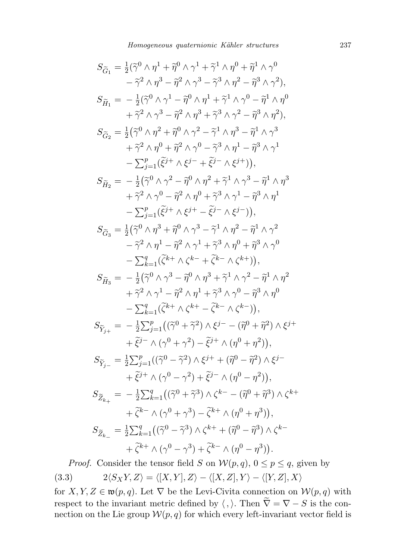$$
S_{\tilde{G}_1} = \frac{1}{2}(\tilde{\gamma}^0 \wedge \eta^1 + \tilde{\eta}^0 \wedge \gamma^1 + \tilde{\gamma}^1 \wedge \eta^0 + \tilde{\eta}^1 \wedge \gamma^0
$$
  
\n
$$
- \tilde{\gamma}^2 \wedge \eta^3 - \tilde{\eta}^2 \wedge \gamma^3 - \tilde{\gamma}^3 \wedge \eta^2 - \tilde{\eta}^3 \wedge \gamma^2),
$$
  
\n
$$
S_{\tilde{H}_1} = -\frac{1}{2}(\tilde{\gamma}^0 \wedge \gamma^1 - \tilde{\eta}^0 \wedge \eta^1 + \tilde{\gamma}^1 \wedge \gamma^0 - \tilde{\eta}^1 \wedge \eta^0
$$
  
\n
$$
+ \tilde{\gamma}^2 \wedge \gamma^3 - \tilde{\eta}^2 \wedge \eta^3 + \tilde{\gamma}^3 \wedge \gamma^2 - \tilde{\eta}^3 \wedge \eta^2),
$$
  
\n
$$
S_{\tilde{G}_2} = \frac{1}{2}(\tilde{\gamma}^0 \wedge \eta^2 + \tilde{\eta}^0 \wedge \gamma^2 - \tilde{\gamma}^1 \wedge \eta^3 - \tilde{\eta}^1 \wedge \gamma^3
$$
  
\n
$$
+ \tilde{\gamma}^2 \wedge \eta^0 + \tilde{\eta}^2 \wedge \gamma^0 - \tilde{\gamma}^3 \wedge \eta^1 - \tilde{\eta}^3 \wedge \gamma^1
$$
  
\n
$$
- \sum_{j=1}^p (\tilde{\xi}^{j+} \wedge \xi^{j-} + \tilde{\xi}^{j-} \wedge \xi^{j+})),
$$
  
\n
$$
S_{\tilde{H}_2} = -\frac{1}{2}(\tilde{\gamma}^0 \wedge \gamma^2 - \tilde{\eta}^0 \wedge \eta^2 + \tilde{\gamma}^1 \wedge \gamma^3 - \tilde{\eta}^1 \wedge \eta^3
$$
  
\n
$$
+ \tilde{\gamma}^2 \wedge \gamma^0 - \tilde{\eta}^2 \wedge \eta^0 + \tilde{\gamma}^3 \wedge \gamma^1 - \tilde{\eta}^3 \wedge \eta^1
$$
  
\n
$$
- \sum_{j=1}^p (\tilde{\xi}^{
$$

<span id="page-8-0"></span>*Proof.* Consider the tensor field S on  $\mathcal{W}(p,q)$ ,  $0 \leq p \leq q$ , given by (3.3)  $2\langle S_XY, Z\rangle = \langle [X, Y], Z\rangle - \langle [X, Z], Y\rangle - \langle [Y, Z], X\rangle$ 

for  $X, Y, Z \in \mathfrak{w}(p,q)$ . Let  $\nabla$  be the Levi-Civita connection on  $\mathcal{W}(p,q)$  with respect to the invariant metric defined by  $\langle , \rangle$ . Then  $\tilde{\nabla} = \nabla - S$  is the connection on the Lie group  $W(p, q)$  for which every left-invariant vector field is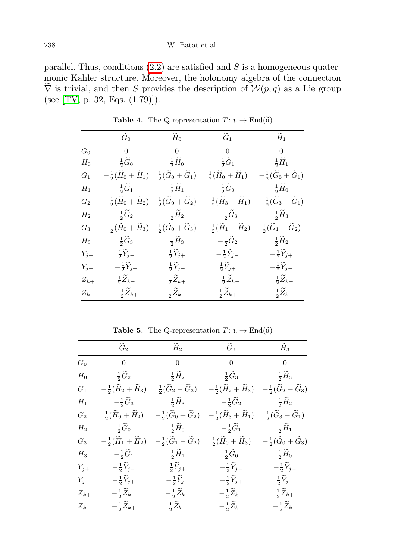parallel. Thus, conditions  $(2.2)$  are satisfied and S is a homogeneous quaternionic Kähler structure. Moreover, the holonomy algebra of the connection  $\overline{\nabla}$  is trivial, and then S provides the description of  $\mathcal{W}(p,q)$  as a Lie group (see [\[TV,](#page-13-6) p. 32, Eqs. (1.79)]).

|                | $\widetilde{G}_0$                                                                             |                                                | $\widetilde{H}_0$ $\widetilde{G}_1$                                                                 | $\widetilde{H}_1$                               |
|----------------|-----------------------------------------------------------------------------------------------|------------------------------------------------|-----------------------------------------------------------------------------------------------------|-------------------------------------------------|
| $G_0$          | $\begin{matrix} 0 & 0 & 0 & 0 \end{matrix}$                                                   |                                                |                                                                                                     |                                                 |
| $H_0$          |                                                                                               |                                                | $\frac{1}{2}\widetilde{G}_0$ $\frac{1}{2}\widetilde{H}_0$ $\frac{1}{2}\widetilde{G}_1$              | $\frac{1}{2}\widetilde{H}_1$                    |
| $G_1$          | $-\frac{1}{2}(\tilde{H}_0+\tilde{H}_1)$                                                       |                                                | $\frac{1}{2}(\widetilde{G}_0+\widetilde{G}_1) \ \ \ \ \frac{1}{2}(\widetilde{H}_0+\widetilde{H}_1)$ | $-\frac{1}{2}(\widetilde{G}_0+\widetilde{G}_1)$ |
| $H_1$          | $\frac{1}{2}\widetilde{G}_1$                                                                  |                                                | $\frac{1}{2}\widetilde{H}_1$ $\frac{1}{2}\widetilde{G}_0$                                           | $\frac{1}{2}\widetilde{H}_0$                    |
| $G_2$          | $-\frac{1}{2}(\widetilde{H}_0+\widetilde{H}_2)$                                               | $\frac{1}{2}(\widetilde{G}_0+\widetilde{G}_2)$ | $-\frac{1}{2}(\widetilde{H}_3+\widetilde{H}_1)$                                                     | $-\frac{1}{2}(\widetilde{G}_3-\widetilde{G}_1)$ |
| $H_2$          | $\frac{1}{2}\widetilde{G}_2$                                                                  | $\frac{1}{2}\widetilde{H}_2$                   | $-\frac{1}{2}\widetilde{G}_3$                                                                       | $\frac{1}{2}\widetilde{H}_3$                    |
| $\mathbb{G}_3$ | $-\frac{1}{2}(\widetilde{H}_0+\widetilde{H}_3)$                                               | $\frac{1}{2}(\widetilde{G}_0+\widetilde{G}_3)$ | $-\frac{1}{2}(\widetilde{H}_1+\widetilde{H}_2)$                                                     | $\frac{1}{2}(\widetilde{G}_1-\widetilde{G}_2)$  |
|                | $H_3$ $\frac{1}{2}\widetilde{G}_3$ $\frac{1}{2}\widetilde{H}_3$ $-\frac{1}{2}\widetilde{G}_2$ |                                                |                                                                                                     | $\frac{1}{2}\widetilde{H}_2$                    |
| $Y_{j+}$       | $\frac{1}{2}\widetilde{Y}_{j-}$                                                               | $\frac{1}{2}\widetilde{Y}_{j+}$                | $-\frac{1}{2}\widetilde{Y}_{j-}$                                                                    | $-\frac{1}{2}\widetilde{Y}_{j+}$                |
| $Y_{j-}$       | $-\frac{1}{2}\widetilde{Y}_{j+}$                                                              |                                                | $\frac{1}{2}\widetilde{Y}_{j-}$ $\frac{1}{2}\widetilde{Y}_{j+}$                                     | $-\frac{1}{2}\widetilde{Y}_{j-}$                |
| $Z_{k+}$       | $\frac{1}{2}\widetilde{Z}_{k-}$                                                               | $\frac{1}{2}\widetilde{Z}_{k+}$                | $-\frac{1}{2}\widetilde{Z}_{k-}$                                                                    | $-\frac{1}{2}\widetilde{Z}_{k+}$                |
| $Z_{k-}$       | $-\frac{1}{2}\widetilde{Z}_{k+}$                                                              | $rac{1}{2}\widetilde{Z}_{k-}$                  | $\frac{1}{2}\widetilde{Z}_{k+}$                                                                     | $-\frac{1}{2}\widetilde{Z}_{k-}$                |

<span id="page-9-0"></span>**Table 4.** The Q-representation  $T: \mathfrak{u} \to \text{End}(\widetilde{\mathfrak{u}})$ 

**Table 5.** The Q-representation  $T: \mathfrak{u} \to \text{End}(\widetilde{\mathfrak{u}})$ 

|           | $\widetilde{G}_2$                               |                                                                                         | $\widetilde{H}_{2}$ $\qquad \qquad \widetilde{G}_{3}$                                    | $\widetilde{H}_3$                               |
|-----------|-------------------------------------------------|-----------------------------------------------------------------------------------------|------------------------------------------------------------------------------------------|-------------------------------------------------|
| $G_0$     |                                                 |                                                                                         | $\begin{array}{ccccccccccccc} 0 & & & & 0 & & & & 0 & & & & 0 \end{array}$               |                                                 |
| $H_0$     |                                                 |                                                                                         | $\frac{1}{2}\widetilde{G}_2$ $\frac{1}{2}\widetilde{H}_2$ $\frac{1}{2}\widetilde{G}_3$   | $\frac{1}{2}\widetilde{H}_3$                    |
| $G_1$     | $-\frac{1}{2}(\tilde{H}_2+\tilde{H}_3)$         | $\frac{1}{2}(\widetilde{G}_2-\widetilde{G}_3)$                                          | $-\frac{1}{2}(\tilde{H}_2+\tilde{H}_3)$                                                  | $-\frac{1}{2}(\widetilde{G}_2-\widetilde{G}_3)$ |
| $H_1$     |                                                 |                                                                                         | $-\frac{1}{2}\widetilde{G}_3$ $\frac{1}{2}\widetilde{H}_3$ $-\frac{1}{2}\widetilde{G}_2$ | $\frac{1}{2}\widetilde{H}_2$                    |
| $G_2$     | $\frac{1}{2}(\widetilde{H}_0+\widetilde{H}_2)$  | $-\frac{1}{2}(\widetilde{G}_0+\widetilde{G}_2)$                                         | $-\frac{1}{2}(\widetilde H_3+\widetilde H_1)$                                            | $\frac{1}{2}(\widetilde{G}_3-\widetilde{G}_1)$  |
| $H_2$     | $\frac{1}{2}\widetilde{G}_0$                    |                                                                                         | $-\frac{1}{2}\widetilde{H}_0$ $-\frac{1}{2}\widetilde{G}_1$ $\frac{1}{2}\widetilde{H}_1$ |                                                 |
| $G_3$     | $-\frac{1}{2}(\widetilde{H}_1+\widetilde{H}_2)$ | $-\frac{1}{2}(\widetilde{G}_1-\widetilde{G}_2)$                                         | $rac{1}{2}(\widetilde{H}_0+\widetilde{H}_3)$                                             | $-\frac{1}{2}(\widetilde{G}_0+\widetilde{G}_3)$ |
| $H_3$     |                                                 | $-\frac{1}{2}\widetilde{G}_1$ $\frac{1}{2}\widetilde{H}_1$ $\frac{1}{2}\widetilde{G}_0$ |                                                                                          | $rac{1}{2}\tilde{H}_0$                          |
| $Y_{j+}$  | $-\frac{1}{2}\tilde{Y}_{j-}$                    | $\frac{1}{2}\widetilde{Y}_{j+}$                                                         | $-\frac{1}{2}\widetilde{Y}_{j-}$                                                         | $-\frac{1}{2}\widetilde{Y}_{j+}$                |
| $Y_{j-}$  | $-\frac{1}{2}\widetilde{Y}_{j+}$                | $-\frac{1}{2}\widetilde{Y}_{j-}$                                                        | $-\frac{1}{2}\widetilde{Y}_{j+}$                                                         | $\frac{1}{2}\widetilde{Y}_{j-}$                 |
| $Z_{k+}$  | $-\frac{1}{2}\widetilde{Z}_{k-}$                | $-\frac{1}{2}\widetilde{Z}_{k+}$                                                        | $-\frac{1}{2}\widetilde{Z}_{k-}$                                                         | $\frac{1}{2}\widetilde{Z}_{k+}$                 |
| $Z_{k-1}$ | $-\frac{1}{2}\widetilde{Z}_{k+}$                | $rac{1}{2}\widetilde{Z}_{k-}$                                                           | $-\frac{1}{2}\widetilde{Z}_{k+}$                                                         | $-\frac{1}{2}\widetilde{Z}_{k-}$                |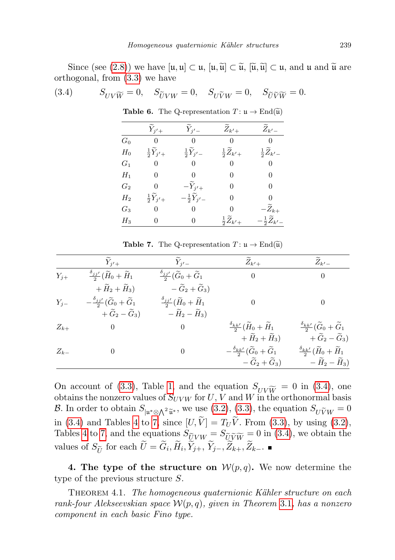Since (see [\(2.8\)](#page-4-2)) we have  $[\mathfrak{u},\mathfrak{u}] \subset \mathfrak{u}, [\mathfrak{u},\widetilde{\mathfrak{u}}] \subset \widetilde{\mathfrak{u}}, [\widetilde{\mathfrak{u}},\widetilde{\mathfrak{u}}] \subset \mathfrak{u},$  and  $\mathfrak{u}$  and  $\widetilde{\mathfrak{u}}$  are orthogonal, from [\(3.3\)](#page-8-0) we have

(3.4) 
$$
S_{UV\widetilde{W}} = 0, \quad S_{\widetilde{U}VW} = 0, \quad S_{U\widetilde{V}W} = 0, \quad S_{\widetilde{U}\widetilde{V}\widetilde{W}} = 0.
$$

|       | $\widetilde{Y}_{j'+}$            | $\widetilde{Y}_{j'-1}$           | $\widetilde Z_{k'+}$             | $\widetilde Z_{k'-}$             |
|-------|----------------------------------|----------------------------------|----------------------------------|----------------------------------|
| $G_0$ | $\theta$                         | $\overline{0}$                   | $\overline{0}$                   | $\overline{0}$                   |
| $H_0$ | $\frac{1}{2}\widetilde{Y}_{j'+}$ | $\frac{1}{2}\widetilde{Y}_{j'}$  | $\frac{1}{2}\widetilde{Z}_{k'+}$ | $\frac{1}{2}\widetilde{Z}_{k'}$  |
| $G_1$ | $\boldsymbol{0}$                 | $\overline{0}$                   | $\overline{0}$                   | $\boldsymbol{0}$                 |
| $H_1$ | 0                                | 0                                | 0                                | 0                                |
| $G_2$ | $\overline{0}$                   | $-\widetilde{Y}_{i'+}$           | 0                                | $\Omega$                         |
| $H_2$ | $\frac{1}{2}\widetilde{Y}_{j'+}$ | $-\frac{1}{2}\widetilde{Y}_{j'}$ | $\theta$                         | 0                                |
| $G_3$ | $\overline{0}$                   | $\Omega$                         | $\overline{0}$                   | $-\widetilde Z_{k+}$             |
| $H_3$ | 0                                | $\overline{0}$                   | $rac{1}{2}\widetilde{Z}_{k'+}$   | $-\frac{1}{2}\widetilde{Z}_{k'}$ |

<span id="page-10-3"></span><span id="page-10-2"></span>**Table 6.** The Q-representation  $T: \mathfrak{u} \to \text{End}(\widetilde{\mathfrak{u}})$ 

<span id="page-10-1"></span>**Table 7.** The Q-representation  $T: \mathfrak{u} \to \text{End}(\widetilde{\mathfrak{u}})$ 

|          | $\widetilde{Y}_{j'+}$                                      | $\widetilde{Y}_{i'}$                                      | $\widetilde Z_{k'+}$                                       | $\widetilde Z_{k'-}$                                        |
|----------|------------------------------------------------------------|-----------------------------------------------------------|------------------------------------------------------------|-------------------------------------------------------------|
| $Y_{j+}$ | $\frac{\delta_{jj'}}{2}(\widetilde{H}_0+\widetilde{H}_1)$  | $\frac{\delta_{jj'}}{2}(\widetilde{G}_0+\widetilde{G}_1)$ | $\overline{0}$                                             | $\overline{0}$                                              |
|          | $+\,\widetilde H_2+\widetilde H_3)$                        | $-\widetilde{G}_2+\widetilde{G}_3$                        |                                                            |                                                             |
| $Y_{i-}$ | $-\frac{\delta_{jj'}}{2}(\widetilde{G}_0+\widetilde{G}_1)$ | $\frac{\delta_{jj'}}{2}(\widetilde{H}_0+\widetilde{H}_1)$ | $\theta$                                                   | $\overline{0}$                                              |
|          | $+\widetilde{G}_2-\widetilde{G}_3$                         | $-\widetilde{H}_2-\widetilde{H}_3$                        |                                                            |                                                             |
| $Z_{k+}$ | $\overline{0}$                                             | $\overline{0}$                                            | $\frac{\delta_{kk'}}{2}(\widetilde{H}_0+\widetilde{H}_1)$  | $\frac{\delta_{kk'}}{2}(\widetilde{G}_0+\widetilde{G}_1)$   |
|          |                                                            |                                                           | $+ \widetilde{H}_2 + \widetilde{H}_3$                      | $+\widetilde{G}_2-\widetilde{G}_3$                          |
| $Z_{k-}$ | $\overline{0}$                                             | $\mathbf{0}$                                              | $-\frac{\delta_{kk'}}{2}(\widetilde{G}_0+\widetilde{G}_1)$ | $\frac{\delta_{kk'}}{2}(\widetilde{H}_0 + \widetilde{H}_1)$ |
|          |                                                            |                                                           | $-\widetilde{G}_2+\widetilde{G}_3$                         | $-\widetilde{H}_2-\widetilde{H}_3)$                         |

On account of [\(3.3\)](#page-8-0), Table [1,](#page-5-0) and the equation  $S_{UV\widetilde{W}} = 0$  in [\(3.4\)](#page-10-3), one obtains the nonzero values of  $S_{UVW}$  for U, V and W in the orthonormal basis B. In order to obtain  $S_{|u^*\otimes\bigwedge^2 \widetilde{u}^*}$ , we use [\(3.2\)](#page-6-2), [\(3.3\)](#page-8-0), the equation  $S_{U\widetilde{V}W}=0$ in [\(3.4\)](#page-10-3) and Tables [4](#page-9-0) to [7,](#page-10-1) since  $[U, \tilde{V}] = T_U \tilde{V}$ . From [\(3.3\)](#page-8-0), by using [\(3.2\)](#page-6-2), Tables [4](#page-9-0) to [7,](#page-10-1) and the equations  $S_{\tilde{U}VW} = S_{\tilde{U}\tilde{V}\tilde{W}} = 0$  in [\(3.4\)](#page-10-3), we obtain the values of  $S_{\tilde{U}}$  for each  $U = G_i, H_i, Y_{j+}, Y_{j-}, Z_{k+}, Z_{k-}$ .

4. The type of the structure on  $W(p,q)$ . We now determine the type of the previous structure S.

<span id="page-10-0"></span>THEOREM 4.1. The homogeneous quaternionic Kähler structure on each rank-four Alekseevskian space  $W(p,q)$ , given in Theorem [3.1](#page-7-0), has a nonzero component in each basic Fino type.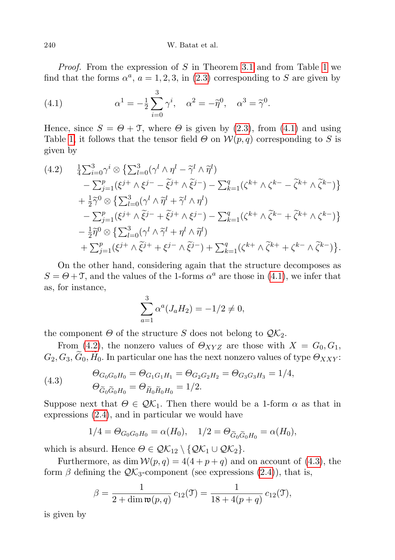*Proof.* From the expression of S in Theorem [3.1](#page-7-0) and from Table [1](#page-5-0) we find that the forms  $\alpha^a$ ,  $a = 1, 2, 3$ , in [\(2.3\)](#page-2-2) corresponding to S are given by

<span id="page-11-0"></span>(4.1) 
$$
\alpha^{1} = -\frac{1}{2} \sum_{i=0}^{3} \gamma^{i}, \quad \alpha^{2} = -\tilde{\eta}^{0}, \quad \alpha^{3} = \tilde{\gamma}^{0}.
$$

Hence, since  $S = \Theta + \mathcal{T}$ , where  $\Theta$  is given by [\(2.3\)](#page-2-2), from [\(4.1\)](#page-11-0) and using Table [1,](#page-5-0) it follows that the tensor field  $\Theta$  on  $\mathcal{W}(p,q)$  corresponding to S is given by

<span id="page-11-1"></span>
$$
(4.2) \frac{1}{4} \sum_{i=0}^{3} \gamma^{i} \otimes \left\{ \sum_{l=0}^{3} (\gamma^{l} \wedge \eta^{l} - \tilde{\gamma}^{l} \wedge \tilde{\eta}^{l}) - \sum_{j=1}^{p} (\xi^{j+} \wedge \xi^{j-} - \tilde{\xi}^{j+} \wedge \tilde{\xi}^{j-}) - \sum_{k=1}^{q} (\zeta^{k+} \wedge \zeta^{k-} - \tilde{\zeta}^{k+} \wedge \tilde{\zeta}^{k-}) \right\} + \frac{1}{2} \tilde{\gamma}^{0} \otimes \left\{ \sum_{l=0}^{3} (\gamma^{l} \wedge \tilde{\eta}^{l} + \tilde{\gamma}^{l} \wedge \eta^{l}) - \sum_{j=1}^{q} (\xi^{j+} \wedge \tilde{\xi}^{j-} + \tilde{\xi}^{j+} \wedge \xi^{j-}) - \sum_{k=1}^{q} (\zeta^{k+} \wedge \tilde{\zeta}^{k-} + \tilde{\zeta}^{k+} \wedge \zeta^{k-}) \right\} - \frac{1}{2} \tilde{\eta}^{0} \otimes \left\{ \sum_{l=0}^{3} (\gamma^{l} \wedge \tilde{\gamma}^{l} + \eta^{l} \wedge \tilde{\eta}^{l}) + \sum_{k=1}^{q} (\xi^{j+} \wedge \tilde{\xi}^{j+} + \xi^{j-} \wedge \tilde{\xi}^{j-}) + \sum_{k=1}^{q} (\zeta^{k+} \wedge \tilde{\zeta}^{k+} + \zeta^{k-} \wedge \tilde{\zeta}^{k-}) \right\}.
$$

On the other hand, considering again that the structure decomposes as  $S = \Theta + \mathcal{T}$ , and the values of the 1-forms  $\alpha^a$  are those in [\(4.1\)](#page-11-0), we infer that as, for instance,

$$
\sum_{a=1}^{3} \alpha^{a} (J_{a}H_{2}) = -1/2 \neq 0,
$$

the component  $\Theta$  of the structure S does not belong to  $\mathcal{QK}_2$ .

From [\(4.2\)](#page-11-1), the nonzero values of  $\Theta_{XYZ}$  are those with  $X = G_0, G_1$ ,  $G_2, G_3, \widetilde{G}_0, \widetilde{H}_0$ . In particular one has the next nonzero values of type  $\Theta_{XXY}$ :

<span id="page-11-2"></span>(4.3) 
$$
\begin{aligned}\n\Theta_{G_0G_0H_0} &= \Theta_{G_1G_1H_1} = \Theta_{G_2G_2H_2} = \Theta_{G_3G_3H_3} = 1/4, \\
\Theta_{\widetilde{G}_0\widetilde{G}_0H_0} &= \Theta_{\widetilde{H}_0\widetilde{H}_0H_0} = 1/2.\n\end{aligned}
$$

Suppose next that  $\Theta \in \mathcal{QK}_1$ . Then there would be a 1-form  $\alpha$  as that in expressions [\(2.4\)](#page-3-1), and in particular we would have

$$
1/4 = \Theta_{G_0G_0H_0} = \alpha(H_0), \quad 1/2 = \Theta_{\widetilde{G}_0\widetilde{G}_0H_0} = \alpha(H_0),
$$

which is absurd. Hence  $\Theta \in \mathcal{QK}_{12} \setminus \{ \mathcal{QK}_1 \cup \mathcal{QK}_2 \}.$ 

Furthermore, as dim  $W(p,q) = 4(4+p+q)$  and on account of [\(4.3\)](#page-11-2), the form  $\beta$  defining the  $\mathcal{QK}_3$ -component (see expressions [\(2.4\)](#page-3-1)), that is,

$$
\beta = \frac{1}{2 + \dim \mathfrak{w}(p, q)} c_{12}(\mathfrak{I}) = \frac{1}{18 + 4(p + q)} c_{12}(\mathfrak{I}),
$$

is given by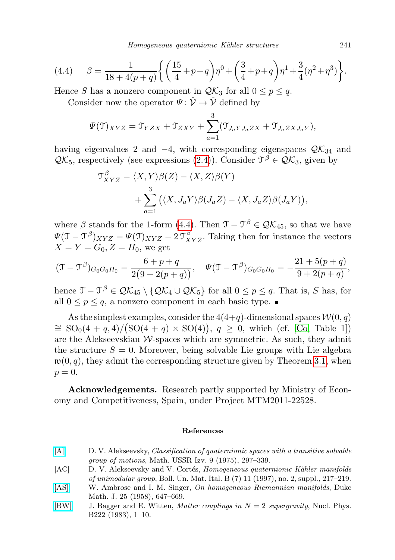Homogeneous quaternionic Kähler structures 241

<span id="page-12-4"></span>(4.4) 
$$
\beta = \frac{1}{18 + 4(p+q)} \left\{ \left( \frac{15}{4} + p + q \right) \eta^0 + \left( \frac{3}{4} + p + q \right) \eta^1 + \frac{3}{4} (\eta^2 + \eta^3) \right\}.
$$

Hence S has a nonzero component in  $\mathcal{QK}_3$  for all  $0 \leq p \leq q$ .

Consider now the operator  $\Psi: \hat{\mathcal{V}} \to \hat{\mathcal{V}}$  defined by

$$
\Psi(\mathcal{T})_{XYZ} = \mathcal{T}_{YZX} + \mathcal{T}_{ZXY} + \sum_{a=1}^{3} (\mathcal{T}_{J_aYJ_aZX} + \mathcal{T}_{J_aZXJ_aY}),
$$

having eigenvalues 2 and  $-4$ , with corresponding eigenspaces  $\mathcal{QK}_{34}$  and  $\mathcal{QK}_5$ , respectively (see expressions [\(2.4\)](#page-3-1)). Consider  $\mathcal{T}^{\beta} \in \mathcal{QK}_3$ , given by

$$
\mathcal{T}_{XYZ}^{\beta} = \langle X, Y \rangle \beta(Z) - \langle X, Z \rangle \beta(Y) + \sum_{a=1}^{3} (\langle X, J_a Y \rangle \beta(J_a Z) - \langle X, J_a Z \rangle \beta(J_a Y)),
$$

where  $\beta$  stands for the 1-form [\(4.4\)](#page-12-4). Then  $\mathfrak{T} - \mathfrak{T}^{\beta} \in \mathcal{QK}_{45}$ , so that we have  $\Psi(\mathfrak{T} - \mathfrak{T}^{\beta})_{XYZ} = \Psi(\mathfrak{T})_{XYZ} - 2 \mathfrak{T}^{\beta}_{XYZ}$ . Taking then for instance the vectors  $X = Y = G_0, Z = H_0$ , we get

$$
(\mathfrak{T} - \mathfrak{T}^{\beta})_{G_0G_0H_0} = \frac{6+p+q}{2(9+2(p+q))}, \quad \Psi(\mathfrak{T} - \mathfrak{T}^{\beta})_{G_0G_0H_0} = -\frac{21+5(p+q)}{9+2(p+q)},
$$

hence  $\mathfrak{T} - \mathfrak{T}^{\beta} \in \mathcal{QK}_{45} \setminus \{ \mathcal{QK}_4 \cup \mathcal{QK}_5 \}$  for all  $0 \leq p \leq q$ . That is, S has, for all  $0 \le p \le q$ , a nonzero component in each basic type.

As the simplest examples, consider the  $4(4+q)$ -dimensional spaces  $\mathcal{W}(0, q)$  $\cong SO_0(4+q,4)/\big(SO(4+q)\times SO(4)\big), q\geq 0$ , which (cf. [\[Co,](#page-13-5) Table 1]) are the Alekseevskian  $W$ -spaces which are symmetric. As such, they admit the structure  $S = 0$ . Moreover, being solvable Lie groups with Lie algebra  $\mathfrak{w}(0, q)$ , they admit the corresponding structure given by Theorem [3.1,](#page-7-0) when  $p=0.$ 

Acknowledgements. Research partly supported by Ministry of Economy and Competitiveness, Spain, under Project MTM2011-22528.

## References

- <span id="page-12-0"></span>[\[A\]](http://dx.doi.org/10.1070/IM1975v009n02ABEH001479) D. V. Alekseevsky, Classification of quaternionic spaces with a transitive solvable group of motions, Math. USSR Izv. 9 (1975), 297–339.
- <span id="page-12-3"></span>[AC] D. V. Alekseevsky and V. Cortés, Homogeneous quaternionic Kähler manifolds of unimodular group, Boll. Un. Mat. Ital. B (7) 11 (1997), no. 2, suppl., 217–219.
- <span id="page-12-2"></span>[\[AS\]](http://dx.doi.org/10.1215/S0012-7094-58-02560-2) W. Ambrose and I. M. Singer, On homogeneous Riemannian manifolds, Duke Math. J. 25 (1958), 647–669.
- <span id="page-12-1"></span>[\[BW\]](http://dx.doi.org/10.1016/0550-3213(83)90605-3) J. Bagger and E. Witten, *Matter couplings in*  $N = 2$  *supergravity*, Nucl. Phys. B222 (1983), 1–10.